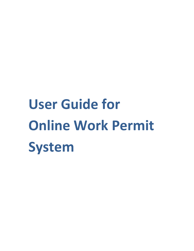# **User Guide for Online Work Permit System**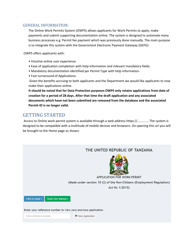### GENERAL INFORMATION:

The Online Work Permits System (OWPS) allows applicants for Work Permits to apply, make payments and submit supporting documentation online. The system is designed to automate many business processes e.g. Permit fee payment which was previously done manually. The main purpose is to integrate this system with the Government Electronic Payment Gateway (GEPG)

OWPS offers applicants with:

- Intuitive online user experience
- Ease of application completion with help information and relevant mandatory fields.
- Mandatory documentation identified per Permit Type with help information.
- Fast turnaround of Applications.

Given the benefits accruing to both applicants and the Department we would like applicants to now make their applications online.

**It should be noted that for Data Protection purposes OWPS only retains applications from date of creation for a period of 28 days. After that time the draft application and any associated documents which have not been submitted are removed from the database and the associated Permit-ID is no longer valid.**

## GETTING STARTED

Access to Online work permit system is available through a web address https://............. The system is designed to be compatible with a multitude of mobile devices and browsers. On opening this url you will be brought to the Home page as shown.

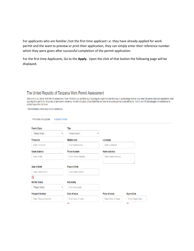For applicants who are familiar /not the first time applicant i.e. they have already applied for work permit and the want to preview or print their application, they can simply enter their reference number which they were given after successful completion of the permit application.

For the first time Applicants, Go to the **Apply.** Upon the click of that button the following page will be displayed.

## The United Republic of Tanzania Work Permit Assessment

Welcome to our online Work Permit assessment Form. Whether you are thinking of applying for a permit is the first step in ascertaining whether you meet the permit rules and regulations when<br>applying for a permit for tempor contact you within 24 hours.

\* All information will be kept strictly confidential.

| Particulars of Applicant | <b>Employer Details</b> |                       |                      |                    |
|--------------------------|-------------------------|-----------------------|----------------------|--------------------|
| <b>Permit Class</b>      |                         | <b>Title</b>          |                      |                    |
| Please Select            | $\overline{\mathbf{v}}$ | Please Select         | ▼                    |                    |
| <b>Firstname</b>         |                         | Middlename            | Lastname             |                    |
| Enter Firstname          |                         | Enter Middlename      | Enter Lastname       |                    |
| <b>Email Address</b>     |                         | <b>Phone Number</b>   | <b>Home Address</b>  |                    |
| Enter Email              |                         | Enter Phone Number    | Enter Home Address   |                    |
|                          |                         |                       |                      |                    |
| Date of Birth            |                         | <b>Place of Birth</b> |                      |                    |
| Enter Date of Birth      |                         | Enter Place of Birth  |                      |                    |
| ∎                        |                         |                       |                      |                    |
| <b>Marital Status</b>    |                         | Nationality           |                      |                    |
| Please Select            | $\overline{\mathbf{v}}$ | Enter Nationality     |                      |                    |
| <b>Passport Number</b>   |                         | Date of Issue         | Place of Issue       | <b>Expire Date</b> |
| Enter Passport Number    |                         | Enter Date of Issue   | Enter Place of Issue | Enter Expire Date  |
|                          |                         | <b>COMMENT</b>        |                      | <u>and</u>         |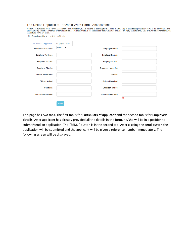#### The United Republic of Tanzania Work Permit Assessment

The United Republic Of Tanization VOINT ENTITE ASSESSITION<br>Welcome to our online Work Permit assessment Form. Whether you are thinking of applying for a permit is the first step in ascertaining whether you meet the permit

| * All information will be kept strictly confidential. |  |  |  |  |  |
|-------------------------------------------------------|--|--|--|--|--|
|-------------------------------------------------------|--|--|--|--|--|

| <b>Particulars of Applicant</b> | <b>Employer Details</b> |                          |   |  |
|---------------------------------|-------------------------|--------------------------|---|--|
| <b>Previous Application</b>     | select <b>v</b>         | <b>Employer Name</b>     |   |  |
| <b>Employer Address</b>         |                         | <b>Employer Region</b>   |   |  |
| <b>Employer District</b>        |                         | <b>Employer Street</b>   |   |  |
| <b>Employer Plot No</b>         |                         | <b>Employer House No</b> |   |  |
| <b>Nature of Industry</b>       |                         | <b>Citizen</b>           |   |  |
| <b>Citizen Skilled</b>          |                         | <b>Citizen Unskilled</b> |   |  |
| <b>Uncitizen</b>                |                         | <b>Uncitizen Skilled</b> |   |  |
| <b>Uncitizen Unskilled</b>      |                         | <b>Employement Date</b>  | ▦ |  |
|                                 | Send                    |                          |   |  |

This page has two tabs. The first tab is for **Particulars of applicant** and the second tab is for **Employers details.** After applicant has already provided all the details in the form, he/she will be in a position to submit/send an application. The "SEND" button is in the second tab. After clicking the **send button** the application will be submitted and the applicant will be given a reference number immediately. The following screen will be displayed.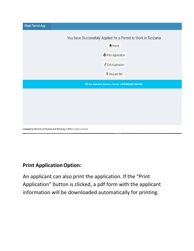| <b>Work Permit App</b> |                                                                                                                                             |
|------------------------|---------------------------------------------------------------------------------------------------------------------------------------------|
|                        | You have Successfully Applied for a Permit to Work in Tanzania<br>A Home<br><b>Print Application</b><br>Edit Application<br>\$ Request Bill |
|                        | O Your Application Reference Number is REF/067/201710041041                                                                                 |
|                        |                                                                                                                                             |
|                        | eveloped by Ministry of Finance and Planning @ 2016 All rights reserved.                                                                    |

# **Print Application Option:**

An applicant can also print the application. If the "Print Application" button is clicked, a pdf form with the applicant information will be downloaded automatically for printing.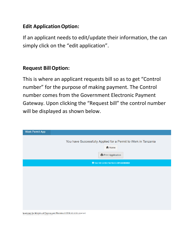## **Edit Application Option:**

If an applicant needs to edit/update their information, the can simply click on the "edit application".

# **Request BillOption:**

This is where an applicant requests bill so as to get "Control number" for the purpose of making payment. The Control number comes from the Government Electronic Payment Gateway. Upon clicking the "Request bill" the control number will be displayed as shown below.

| <b>Work Permit App</b> |                                                                                                      |
|------------------------|------------------------------------------------------------------------------------------------------|
|                        | You have Successfully Applied for a Permit to Work in Tanzania<br>A Home<br><b>Print Application</b> |
|                        | ← Your Bill Control Number is 991330000060                                                           |
|                        |                                                                                                      |
|                        |                                                                                                      |
|                        |                                                                                                      |
|                        |                                                                                                      |
|                        |                                                                                                      |
|                        |                                                                                                      |

leveloped by Ministry of Finance and Planning @ 2016 All rights reserved.